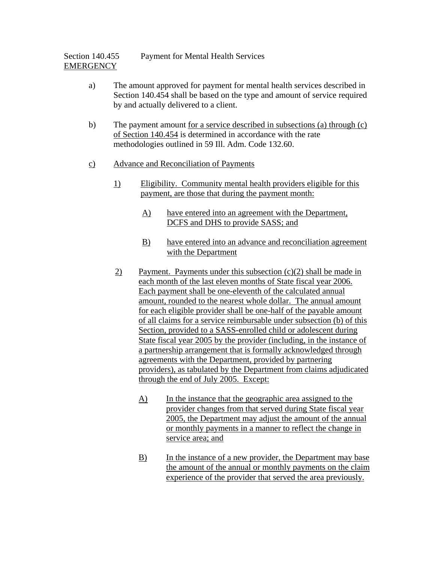- a) The amount approved for payment for mental health services described in Section 140.454 shall be based on the type and amount of service required by and actually delivered to a client.
- b) The payment amount for a service described in subsections (a) through (c) of Section 140.454 is determined in accordance with the rate methodologies outlined in 59 Ill. Adm. Code 132.60.
- c) Advance and Reconciliation of Payments
	- 1) Eligibility. Community mental health providers eligible for this payment, are those that during the payment month:
		- A) have entered into an agreement with the Department, DCFS and DHS to provide SASS; and
		- B) have entered into an advance and reconciliation agreement with the Department
	- 2) Payment. Payments under this subsection  $(c)(2)$  shall be made in each month of the last eleven months of State fiscal year 2006. Each payment shall be one-eleventh of the calculated annual amount, rounded to the nearest whole dollar. The annual amount for each eligible provider shall be one-half of the payable amount of all claims for a service reimbursable under subsection (b) of this Section, provided to a SASS-enrolled child or adolescent during State fiscal year 2005 by the provider (including, in the instance of a partnership arrangement that is formally acknowledged through agreements with the Department, provided by partnering providers), as tabulated by the Department from claims adjudicated through the end of July 2005. Except:
		- A) In the instance that the geographic area assigned to the provider changes from that served during State fiscal year 2005, the Department may adjust the amount of the annual or monthly payments in a manner to reflect the change in service area; and
		- B) In the instance of a new provider, the Department may base the amount of the annual or monthly payments on the claim experience of the provider that served the area previously.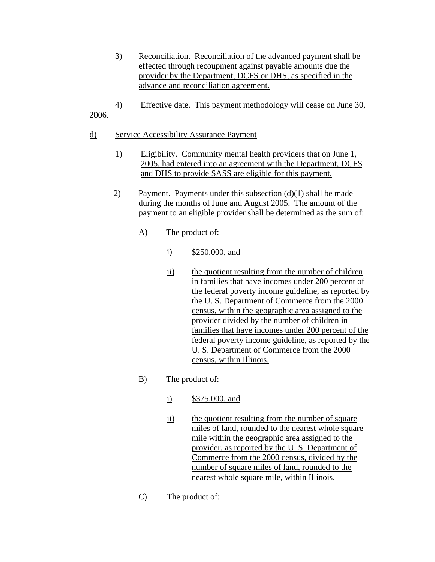- 3) Reconciliation. Reconciliation of the advanced payment shall be effected through recoupment against payable amounts due the provider by the Department, DCFS or DHS, as specified in the advance and reconciliation agreement.
- 4) Effective date. This payment methodology will cease on June 30, 2006.
- d) Service Accessibility Assurance Payment
	- 1) Eligibility. Community mental health providers that on June 1, 2005, had entered into an agreement with the Department, DCFS and DHS to provide SASS are eligible for this payment.
	- 2) Payment. Payments under this subsection  $(d)(1)$  shall be made during the months of June and August 2005. The amount of the payment to an eligible provider shall be determined as the sum of:
		- A) The product of:
			- i) \$250,000, and
			- ii) the quotient resulting from the number of children in families that have incomes under 200 percent of the federal poverty income guideline, as reported by the U. S. Department of Commerce from the 2000 census, within the geographic area assigned to the provider divided by the number of children in families that have incomes under 200 percent of the federal poverty income guideline, as reported by the U. S. Department of Commerce from the 2000 census, within Illinois.

## B) The product of:

- i) \$375,000, and
- ii) the quotient resulting from the number of square miles of land, rounded to the nearest whole square mile within the geographic area assigned to the provider, as reported by the U. S. Department of Commerce from the 2000 census, divided by the number of square miles of land, rounded to the nearest whole square mile, within Illinois.
- C) The product of: